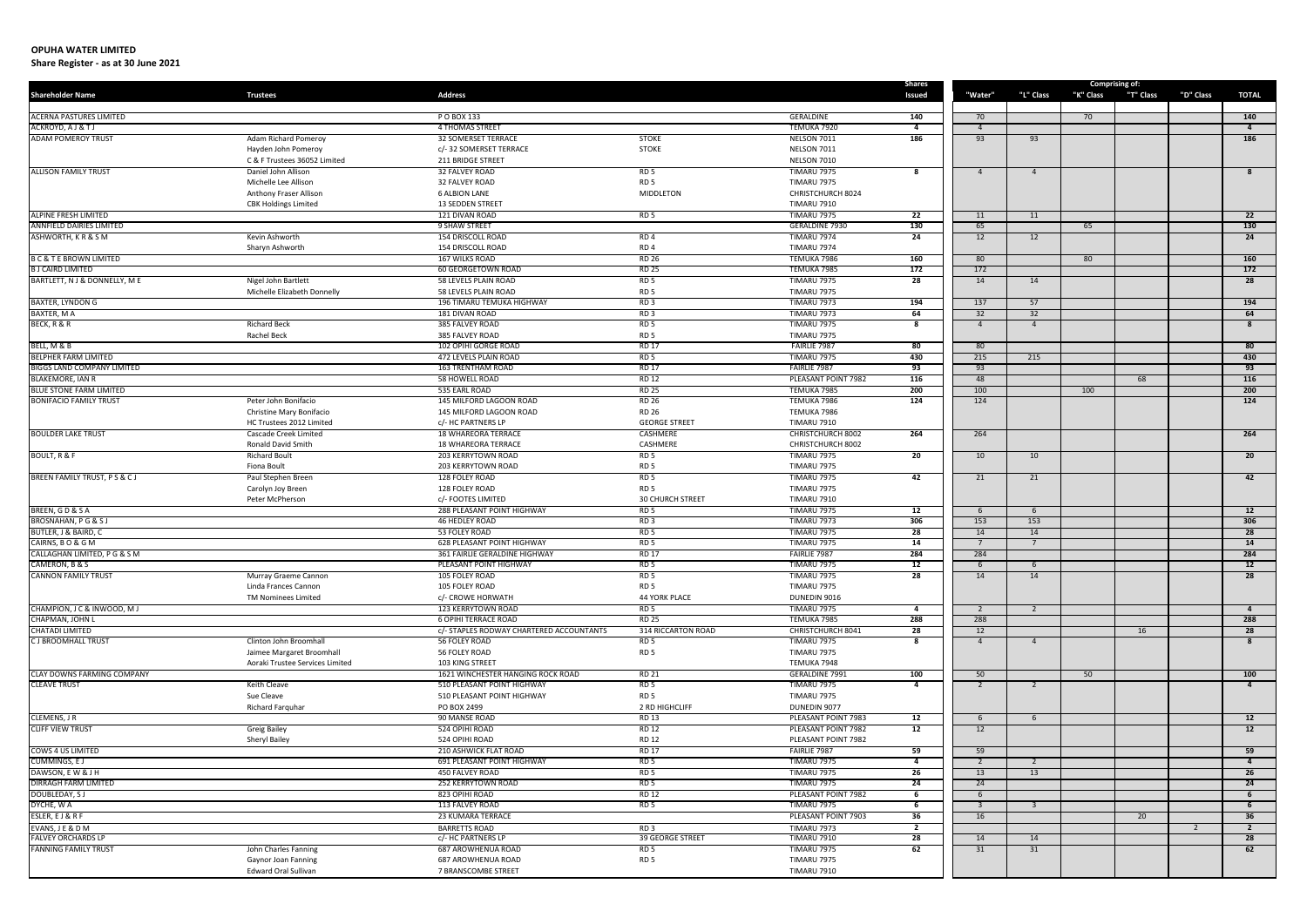| <b>Shareholder Name</b>                | <b>Trustees</b>                                    | <b>Address</b>                                 |                                         |                                          | Shares<br>Issued      | "Water"              | "L" Class      | "K" Class | <b>Comprising of:</b><br>"T" Class | "D" Class | <b>TOTAL</b>            |
|----------------------------------------|----------------------------------------------------|------------------------------------------------|-----------------------------------------|------------------------------------------|-----------------------|----------------------|----------------|-----------|------------------------------------|-----------|-------------------------|
|                                        |                                                    |                                                |                                         |                                          |                       |                      |                |           |                                    |           |                         |
| <b>ACERNA PASTURES LIMITED</b>         |                                                    | P O BOX 133                                    |                                         | GERALDINE                                | 140                   | 70                   |                | 70        |                                    |           | 140                     |
| ACKROYD, A J & T J                     |                                                    | 4 THOMAS STREET                                | <b>STOKE</b>                            | TEMUKA 7920                              | $\overline{4}$<br>186 | $\overline{4}$<br>93 | 93             |           |                                    |           | $\overline{4}$<br>186   |
| <b>ADAM POMEROY TRUST</b>              | Adam Richard Pomeroy<br>Hayden John Pomeroy        | 32 SOMERSET TERRACE<br>c/- 32 SOMERSET TERRACE | <b>STOKE</b>                            | <b>NELSON 7011</b><br><b>NELSON 7011</b> |                       |                      |                |           |                                    |           |                         |
|                                        | C & F Trustees 36052 Limited                       | 211 BRIDGE STREET                              |                                         | <b>NELSON 7010</b>                       |                       |                      |                |           |                                    |           |                         |
| <b>ALLISON FAMILY TRUST</b>            | Daniel John Allison                                | 32 FALVEY ROAD                                 | RD <sub>5</sub>                         | <b>TIMARU 7975</b>                       | 8                     | $\overline{a}$       | $\overline{4}$ |           |                                    |           | 8                       |
|                                        | Michelle Lee Allison                               | 32 FALVEY ROAD                                 | RD <sub>5</sub>                         | <b>TIMARU 7975</b>                       |                       |                      |                |           |                                    |           |                         |
|                                        | Anthony Fraser Allison                             | <b>6 ALBION LANE</b>                           | <b>MIDDLETON</b>                        | CHRISTCHURCH 8024                        |                       |                      |                |           |                                    |           |                         |
|                                        | <b>CBK Holdings Limited</b>                        | 13 SEDDEN STREET                               |                                         | <b>TIMARU 7910</b>                       |                       |                      |                |           |                                    |           |                         |
| <b>ALPINE FRESH LIMITED</b>            |                                                    | 121 DIVAN ROAD                                 | RD 5                                    | <b>TIMARU 7975</b>                       | 22                    | 11                   | 11             |           |                                    |           | 22                      |
| ANNFIELD DAIRIES LIMITED               |                                                    | 9 SHAW STREET                                  |                                         | <b>GERALDINE 7930</b>                    | 130                   | 65                   |                | 65        |                                    |           | 130                     |
| ASHWORTH, KR & S M                     | Kevin Ashworth                                     | <b>154 DRISCOLL ROAD</b>                       | RD <sub>4</sub>                         | <b>TIMARU 7974</b>                       | 24                    | 12                   | 12             |           |                                    |           | 24                      |
|                                        | Sharyn Ashworth                                    | 154 DRISCOLL ROAD                              | RD <sub>4</sub>                         | <b>TIMARU 7974</b>                       |                       |                      |                |           |                                    |           |                         |
| <b>B C &amp; T E BROWN LIMITED</b>     |                                                    | 167 WILKS ROAD                                 | <b>RD 26</b>                            | TEMUKA 7986                              | 160                   | 80                   |                | 80        |                                    |           | 160                     |
| <b>B J CAIRD LIMITED</b>               |                                                    | 60 GEORGETOWN ROAD                             | <b>RD 25</b>                            | TEMUKA 7985                              | 172                   | 172                  |                |           |                                    |           | 172                     |
| BARTLETT, N J & DONNELLY, M E          | Nigel John Bartlett                                | 58 LEVELS PLAIN ROAD                           | RD <sub>5</sub>                         | <b>TIMARU 7975</b>                       | 28                    | 14                   | 14             |           |                                    |           | 28                      |
|                                        | Michelle Elizabeth Donnelly                        | 58 LEVELS PLAIN ROAD                           | RD <sub>5</sub>                         | <b>TIMARU 7975</b>                       |                       |                      |                |           |                                    |           |                         |
| <b>BAXTER, LYNDON G</b><br>BAXTER, M A |                                                    | 196 TIMARU TEMUKA HIGHWAY<br>181 DIVAN ROAD    | RD3<br>RD <sub>3</sub>                  | <b>TIMARU 7973</b><br><b>TIMARU 7973</b> | 194<br>64             | 137<br>32            | 57<br>32       |           |                                    |           | 194<br>64               |
| BECK, R & R                            | <b>Richard Beck</b>                                | 385 FALVEY ROAD                                | RD <sub>5</sub>                         | <b>TIMARU 7975</b>                       |                       | $\overline{4}$       | $\overline{4}$ |           |                                    |           | 8                       |
|                                        | Rachel Beck                                        | 385 FALVEY ROAD                                | RD <sub>5</sub>                         | <b>TIMARU 7975</b>                       |                       |                      |                |           |                                    |           |                         |
| BELL, M & B                            |                                                    | 102 OPIHI GORGE ROAD                           | <b>RD 17</b>                            | FAIRLIE 7987                             | 80                    | 80                   |                |           |                                    |           | 80                      |
| <b>BELPHER FARM LIMITED</b>            |                                                    | 472 LEVELS PLAIN ROAD                          | RD <sub>5</sub>                         | <b>TIMARU 7975</b>                       | 430                   | 215                  | 215            |           |                                    |           | 430                     |
| <b>BIGGS LAND COMPANY LIMITED</b>      |                                                    | <b>163 TRENTHAM ROAD</b>                       | <b>RD 17</b>                            | FAIRLIE 7987                             | 93                    | 93                   |                |           |                                    |           | 93                      |
| <b>BLAKEMORE, IAN R</b>                |                                                    | 58 HOWELL ROAD                                 | <b>RD 12</b>                            | PLEASANT POINT 7982                      | 116                   | 48                   |                |           | 68                                 |           | <b>116</b>              |
| <b>BLUE STONE FARM LIMITED</b>         |                                                    | 535 EARL ROAD                                  | <b>RD 25</b>                            | TEMUKA 7985                              | 200                   | 100                  |                | 100       |                                    |           | 200                     |
| <b>BONIFACIO FAMILY TRUST</b>          | Peter John Bonifacio                               | 145 MILFORD LAGOON ROAD                        | <b>RD 26</b>                            | TEMUKA 7986                              | 124                   | 124                  |                |           |                                    |           | 124                     |
|                                        | Christine Mary Bonifacio                           | 145 MILFORD LAGOON ROAD                        | <b>RD 26</b>                            | TEMUKA 7986                              |                       |                      |                |           |                                    |           |                         |
|                                        | HC Trustees 2012 Limited                           | c/- HC PARTNERS LP                             | <b>GEORGE STREET</b>                    | <b>TIMARU 7910</b>                       |                       |                      |                |           |                                    |           |                         |
| <b>BOULDER LAKE TRUST</b>              | Cascade Creek Limited                              | <b>18 WHAREORA TERRACE</b>                     | CASHMERE                                | <b>CHRISTCHURCH 8002</b>                 | 264                   | 264                  |                |           |                                    |           | 264                     |
|                                        | Ronald David Smith                                 | 18 WHAREORA TERRACE                            | CASHMERE                                | CHRISTCHURCH 8002                        |                       |                      |                |           |                                    |           |                         |
| BOULT, R & F                           | <b>Richard Boult</b>                               | 203 KERRYTOWN ROAD                             | RD <sub>5</sub>                         | <b>TIMARU 7975</b>                       | 20                    | 10                   | 10             |           |                                    |           | 20                      |
|                                        | Fiona Boult                                        | 203 KERRYTOWN ROAD                             | RD <sub>5</sub>                         | <b>TIMARU 7975</b>                       |                       |                      |                |           |                                    |           |                         |
| BREEN FAMILY TRUST, P S & C J          | Paul Stephen Breen                                 | <b>128 FOLEY ROAD</b>                          | RD <sub>5</sub>                         | <b>TIMARU 7975</b>                       | 42                    | 21                   | 21             |           |                                    |           | 42                      |
|                                        | Carolyn Joy Breen                                  | 128 FOLEY ROAD                                 | RD <sub>5</sub>                         | <b>TIMARU 7975</b>                       |                       |                      |                |           |                                    |           |                         |
|                                        | Peter McPherson                                    | c/- FOOTES LIMITED                             | <b>30 CHURCH STREET</b>                 | <b>TIMARU 7910</b>                       |                       |                      |                |           |                                    |           |                         |
| BREEN, GD&SA                           |                                                    | <b>288 PLEASANT POINT HIGHWAY</b>              | RD <sub>5</sub>                         | <b>TIMARU 7975</b>                       | 12                    | 6                    | - 6            |           |                                    |           | 12                      |
| <b>BROSNAHAN, PG &amp; SJ</b>          |                                                    | 46 HEDLEY ROAD                                 | RD3                                     | <b>TIMARU 7973</b>                       | 306                   | 153                  | 153            |           |                                    |           | 306                     |
| BUTLER, J & BAIRD, C                   |                                                    | 53 FOLEY ROAD                                  | RD <sub>5</sub>                         | <b>TIMARU 7975</b>                       | 28                    | 14                   | 14             |           |                                    |           | 28                      |
| CAIRNS, BO&GM                          |                                                    | <b>628 PLEASANT POINT HIGHWAY</b>              | RD <sub>5</sub>                         | <b>TIMARU 7975</b>                       | 14                    |                      |                |           |                                    |           | 14                      |
| CALLAGHAN LIMITED, P G & S M           |                                                    | 361 FAIRLIE GERALDINE HIGHWAY                  | <b>RD 17</b>                            | FAIRLIE 7987                             | 284                   | 284                  |                |           |                                    |           | 284                     |
| CAMERON, B & S                         |                                                    | PLEASANT POINT HIGHWAY                         | RD <sub>5</sub>                         | <b>TIMARU 7975</b>                       | 12                    |                      | 6              |           |                                    |           | 12                      |
| <b>CANNON FAMILY TRUST</b>             | Murray Graeme Cannon                               | 105 FOLEY ROAD<br>105 FOLEY ROAD               | RD 5                                    | TIMARU 7975                              | 28                    | 14                   | 14             |           |                                    |           | 28                      |
|                                        | Linda Frances Cannon<br><b>TM Nominees Limited</b> |                                                | RD <sub>5</sub><br><b>44 YORK PLACE</b> | <b>TIMARU 7975</b>                       |                       |                      |                |           |                                    |           |                         |
| CHAMPION, J C & INWOOD, M J            |                                                    | c/- CROWE HORWATH<br>123 KERRYTOWN ROAD        | RD 5                                    | DUNEDIN 9016<br><b>TIMARU 7975</b>       | 4                     | $\overline{2}$       | 2              |           |                                    |           | $\overline{4}$          |
| CHAPMAN, JOHN L                        |                                                    | <b>6 OPIHI TERRACE ROAD</b>                    | <b>RD 25</b>                            | TEMUKA 7985                              | 288                   | 288                  |                |           |                                    |           | 288                     |
| <b>CHATADI LIMITED</b>                 |                                                    | c/- STAPLES RODWAY CHARTERED ACCOUNTANTS       | 314 RICCARTON ROAD                      | <b>CHRISTCHURCH 8041</b>                 | 28                    | 12                   |                |           | 16                                 |           | 28                      |
| <b>CJ BROOMHALL TRUST</b>              | Clinton John Broomhall                             | 56 FOLEY ROAD                                  | RD <sub>5</sub>                         | <b>TIMARU 7975</b>                       |                       | $\overline{4}$       | $\overline{4}$ |           |                                    |           | $\overline{\mathbf{8}}$ |
|                                        | Jaimee Margaret Broomhall                          | 56 FOLEY ROAD                                  | RD <sub>5</sub>                         | <b>TIMARU 7975</b>                       |                       |                      |                |           |                                    |           |                         |
|                                        | Aoraki Trustee Services Limited                    | 103 KING STREET                                |                                         | TEMUKA 7948                              |                       |                      |                |           |                                    |           |                         |
| <b>CLAY DOWNS FARMING COMPANY</b>      |                                                    | 1621 WINCHESTER HANGING ROCK ROAD              | <b>RD 21</b>                            | <b>GERALDINE 7991</b>                    | 100                   | 50                   |                | 50        |                                    |           | 100                     |
| <b>CLEAVE TRUST</b>                    | <b>Keith Cleave</b>                                | 510 PLEASANT POINT HIGHWAY                     | RD <sub>5</sub>                         | <b>TIMARU 7975</b>                       | $\overline{a}$        | $\overline{2}$       | $\overline{2}$ |           |                                    |           | $\overline{4}$          |
|                                        | Sue Cleave                                         | 510 PLEASANT POINT HIGHWAY                     | RD <sub>5</sub>                         | <b>TIMARU 7975</b>                       |                       |                      |                |           |                                    |           |                         |
|                                        | Richard Farquhar                                   | PO BOX 2499                                    | 2 RD HIGHCLIFF                          | DUNEDIN 9077                             |                       |                      |                |           |                                    |           |                         |
| CLEMENS, JR                            |                                                    | 90 MANSE ROAD                                  | <b>RD 13</b>                            | PLEASANT POINT 7983                      | 12                    | 6                    | - 6            |           |                                    |           | 12                      |
| <b>CLIFF VIEW TRUST</b>                | <b>Greig Bailey</b>                                | 524 OPIHI ROAD                                 | <b>RD 12</b>                            | PLEASANT POINT 7982                      | 12                    | 12                   |                |           |                                    |           | 12                      |
|                                        | <b>Sheryl Bailey</b>                               | 524 OPIHI ROAD                                 | <b>RD 12</b>                            | PLEASANT POINT 7982                      |                       |                      |                |           |                                    |           |                         |
| <b>COWS 4 US LIMITED</b>               |                                                    | <b>210 ASHWICK FLAT ROAD</b>                   | <b>RD 17</b>                            | FAIRLIE 7987                             | 59                    | 59                   |                |           |                                    |           | 59                      |
| <b>CUMMINGS, EJ</b>                    |                                                    | 691 PLEASANT POINT HIGHWAY                     | RD <sub>5</sub>                         | <b>TIMARU 7975</b>                       | $\overline{4}$        | $\overline{2}$       | $\overline{2}$ |           |                                    |           | $\overline{4}$          |
| DAWSON, EW&JH                          |                                                    | 450 FALVEY ROAD                                | RD <sub>5</sub>                         | TIMARU 7975                              | 26                    | 13                   | 13             |           |                                    |           | 26                      |
| DIRRAGH FARM LIMITED                   |                                                    | 252 KERRYTOWN ROAD                             | RD <sub>5</sub>                         | <b>TIMARU 7975</b>                       | 24                    | 24                   |                |           |                                    |           | 24                      |
| DOUBLEDAY, SJ                          |                                                    | 823 OPIHI ROAD                                 | <b>RD 12</b>                            | PLEASANT POINT 7982                      | 6                     | 6                    |                |           |                                    |           | 6                       |
| DYCHE, WA                              |                                                    | 113 FALVEY ROAD                                | RD <sub>5</sub>                         | <b>TIMARU 7975</b>                       |                       |                      | $\overline{3}$ |           |                                    |           | 6                       |
| ESLER, EJ&RF                           |                                                    | <b>23 KUMARA TERRACE</b>                       |                                         | PLEASANT POINT 7903                      | 36                    | 16                   |                |           | 20                                 |           | 36                      |
| EVANS, J E & D M                       |                                                    | <b>BARRETTS ROAD</b>                           | RD <sub>3</sub>                         | <b>TIMARU 7973</b>                       | $\overline{2}$        |                      |                |           |                                    |           | $\overline{2}$          |
| <b>FALVEY ORCHARDS LP</b>              |                                                    | c/- HC PARTNERS LP                             | <b>39 GEORGE STREET</b>                 | <b>TIMARU 7910</b>                       | 28                    | 14                   | 14             |           |                                    |           | 28                      |
| <b>FANNING FAMILY TRUST</b>            | John Charles Fanning                               | 687 AROWHENUA ROAD                             | RD <sub>5</sub><br>RD <sub>5</sub>      | <b>TIMARU 7975</b>                       | 62                    | 31                   | 31             |           |                                    |           | 62                      |
|                                        | Gaynor Joan Fanning                                | 687 AROWHENUA ROAD                             |                                         | <b>TIMARU 7975</b>                       |                       |                      |                |           |                                    |           |                         |
|                                        | Edward Oral Sullivan                               | 7 BRANSCOMBE STREET                            |                                         | <b>TIMARU 7910</b>                       |                       |                      |                |           |                                    |           |                         |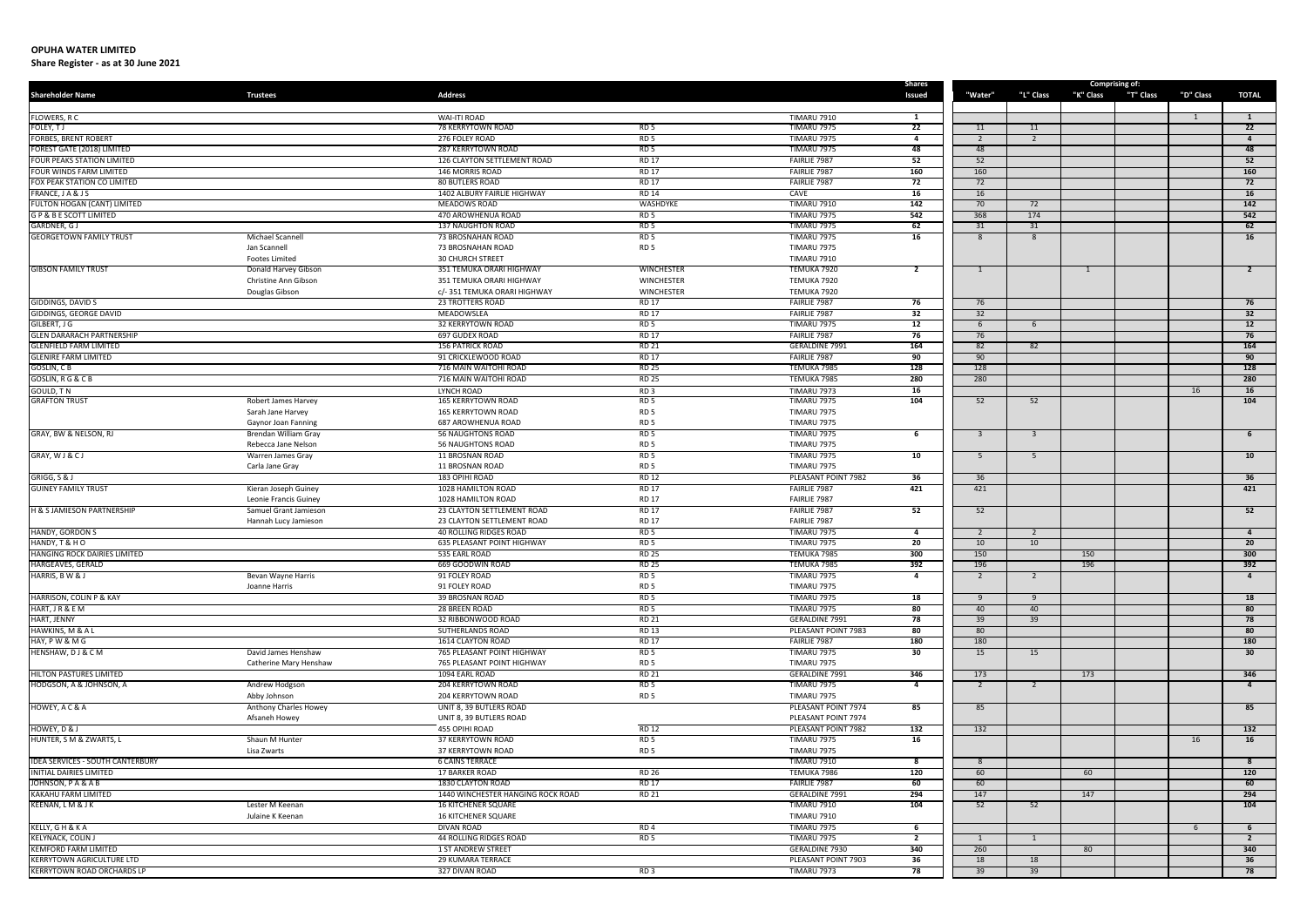| <b>Shareholder Name</b>                                  | <b>Trustees</b>                               | <b>Address</b>                                           |                                    |                                          | <b>Shares</b><br>Issued | "Water"        | "L" Class               | Comprising of:<br>"K" Class | "T" Class | "D" Class | <b>TOTAL</b>        |
|----------------------------------------------------------|-----------------------------------------------|----------------------------------------------------------|------------------------------------|------------------------------------------|-------------------------|----------------|-------------------------|-----------------------------|-----------|-----------|---------------------|
|                                                          |                                               |                                                          |                                    |                                          |                         |                |                         |                             |           |           |                     |
| FLOWERS, R C                                             |                                               | <b>WAI-ITI ROAD</b>                                      |                                    | <b>TIMARU 7910</b>                       | 1                       |                |                         |                             |           |           | <sup>1</sup>        |
| FOLEY, TJ                                                |                                               | <b>78 KERRYTOWN ROAD</b>                                 | RD <sub>5</sub>                    | <b>TIMARU 7975</b>                       | 22                      | 11             | 11                      |                             |           |           | $\overline{22}$     |
| <b>FORBES, BRENT ROBERT</b>                              |                                               | 276 FOLEY ROAD                                           | RD <sub>5</sub>                    | <b>TIMARU 7975</b>                       | $\overline{a}$          | 2              | $\overline{2}$          |                             |           |           | $\overline{4}$      |
| FOREST GATE (2018) LIMITED<br>FOUR PEAKS STATION LIMITED |                                               | <b>287 KERRYTOWN ROAD</b><br>126 CLAYTON SETTLEMENT ROAD | RD <sub>5</sub><br><b>RD 17</b>    | <b>TIMARU 7975</b><br>FAIRLIE 7987       | 48<br>52                | 48<br>52       |                         |                             |           |           | 48<br>52            |
| FOUR WINDS FARM LIMITED                                  |                                               | <b>146 MORRIS ROAD</b>                                   | <b>RD 17</b>                       | FAIRLIE 7987                             | 160                     | 160            |                         |                             |           |           | 160                 |
| FOX PEAK STATION CO LIMITED                              |                                               | <b>80 BUTLERS ROAD</b>                                   | <b>RD 17</b>                       | FAIRLIE 7987                             | 72                      | 72             |                         |                             |           |           | 72                  |
| FRANCE, JA&JS                                            |                                               | 1402 ALBURY FAIRLIE HIGHWAY                              | <b>RD 14</b>                       | CAVE                                     | 16                      | 16             |                         |                             |           |           | 16                  |
| FULTON HOGAN (CANT) LIMITED                              |                                               | <b>MEADOWS ROAD</b>                                      | WASHDYKE                           | <b>TIMARU 7910</b>                       | 142                     | 70             | 72                      |                             |           |           | 142                 |
| <b>GP &amp; BE SCOTT LIMITED</b>                         |                                               | 470 AROWHENUA ROAD<br><b>137 NAUGHTON ROAD</b>           | RD <sub>5</sub><br>RD <sub>5</sub> | <b>TIMARU 7975</b>                       | 542<br>62               | 368            | 174                     |                             |           |           | 542<br>62           |
| GARDNER, GJ<br><b>GEORGETOWN FAMILY TRUST</b>            | Michael Scannel                               | <b>73 BROSNAHAN ROAD</b>                                 | RD <sub>5</sub>                    | <b>TIMARU 7975</b><br><b>TIMARU 7975</b> | 16                      | 31<br>8        | 31<br>8                 |                             |           |           | 16                  |
|                                                          | Jan Scannell                                  | 73 BROSNAHAN ROAD                                        | RD <sub>5</sub>                    | <b>TIMARU 7975</b>                       |                         |                |                         |                             |           |           |                     |
|                                                          | <b>Footes Limited</b>                         | <b>30 CHURCH STREET</b>                                  |                                    | <b>TIMARU 7910</b>                       |                         |                |                         |                             |           |           |                     |
| <b>GIBSON FAMILY TRUST</b>                               | Donald Harvey Gibson                          | 351 TEMUKA ORARI HIGHWAY                                 | <b>WINCHESTER</b>                  | TEMUKA 7920                              | $\overline{2}$          | 1              |                         | $\mathbf{1}$                |           |           | $\overline{2}$      |
|                                                          | Christine Ann Gibson                          | 351 TEMUKA ORARI HIGHWAY                                 | <b>WINCHESTER</b>                  | TEMUKA 7920                              |                         |                |                         |                             |           |           |                     |
|                                                          | Douglas Gibson                                | c/-351 TEMUKA ORARI HIGHWAY                              | <b>WINCHESTER</b>                  | TEMUKA 7920                              |                         |                |                         |                             |           |           |                     |
| <b>GIDDINGS, DAVID S</b>                                 |                                               | <b>23 TROTTERS ROAD</b>                                  | <b>RD 17</b><br><b>RD 17</b>       | FAIRLIE 7987                             | 76                      | 76             |                         |                             |           |           | 76<br>32            |
| GIDDINGS, GEORGE DAVID<br>GILBERT, J G                   |                                               | MEADOWSLEA<br>32 KERRYTOWN ROAD                          | RD <sub>5</sub>                    | FAIRLIE 7987<br><b>TIMARU 7975</b>       | 32<br>12                | 32<br>6        | 6                       |                             |           |           | 12                  |
| <b>GLEN DARARACH PARTNERSHIP</b>                         |                                               | 697 GUDEX ROAD                                           | <b>RD 17</b>                       | FAIRLIE 7987                             | 76                      | 76             |                         |                             |           |           | 76                  |
| <b>GLENFIELD FARM LIMITED</b>                            |                                               | <b>156 PATRICK ROAD</b>                                  | <b>RD 21</b>                       | <b>GERALDINE 7991</b>                    | 164                     | 82             | 82                      |                             |           |           | 164                 |
| <b>GLENIRE FARM LIMITED</b>                              |                                               | 91 CRICKLEWOOD ROAD                                      | <b>RD 17</b>                       | FAIRLIE 7987                             | 90                      | 90             |                         |                             |           |           | 90                  |
| <b>GOSLIN, CB</b>                                        |                                               | 716 MAIN WAITOHI ROAD                                    | <b>RD 25</b>                       | TEMUKA 7985                              | 128                     | 128            |                         |                             |           |           | 128                 |
| GOSLIN, R G & C B                                        |                                               | 716 MAIN WAITOHI ROAD                                    | <b>RD 25</b>                       | TEMUKA 7985                              | 280                     | 280            |                         |                             |           |           | 280                 |
| GOULD, TN<br><b>GRAFTON TRUST</b>                        |                                               | LYNCH ROAD<br><b>165 KERRYTOWN ROAD</b>                  | RD <sub>3</sub>                    | <b>TIMARU 7973</b>                       | 16                      |                |                         |                             |           | 16        | 16                  |
|                                                          | Robert James Harvey<br>Sarah Jane Harvey      | 165 KERRYTOWN ROAD                                       | RD <sub>5</sub><br>RD <sub>5</sub> | <b>TIMARU 7975</b><br><b>TIMARU 7975</b> | 104                     | 52             | 52                      |                             |           |           | 104                 |
|                                                          | Gaynor Joan Fanning                           | 687 AROWHENUA ROAD                                       | RD <sub>5</sub>                    | <b>TIMARU 7975</b>                       |                         |                |                         |                             |           |           |                     |
| GRAY, BW & NELSON, RJ                                    | <b>Brendan William Gray</b>                   | <b>56 NAUGHTONS ROAD</b>                                 | RD <sub>5</sub>                    | <b>TIMARU 7975</b>                       | -6                      | $\mathbf{3}$   | $\overline{\mathbf{3}}$ |                             |           |           | 6                   |
|                                                          | Rebecca Jane Nelson                           | <b>56 NAUGHTONS ROAD</b>                                 | RD <sub>5</sub>                    | <b>TIMARU 7975</b>                       |                         |                |                         |                             |           |           |                     |
| GRAY, WJ&CJ                                              | Warren James Gray                             | 11 BROSNAN ROAD                                          | RD <sub>5</sub>                    | TIMARU 7975                              | 10                      | -5             | 5                       |                             |           |           | 10                  |
|                                                          | Carla Jane Gray                               | 11 BROSNAN ROAD                                          | RD <sub>5</sub>                    | <b>TIMARU 7975</b>                       |                         |                |                         |                             |           |           |                     |
| GRIGG, S & J<br><b>GUINEY FAMILY TRUST</b>               |                                               | 183 OPIHI ROAD<br>1028 HAMILTON ROAD                     | <b>RD 12</b><br><b>RD 17</b>       | PLEASANT POINT 7982<br>FAIRLIE 7987      | 36<br>421               | 36<br>421      |                         |                             |           |           | 36<br>421           |
|                                                          | Kieran Joseph Guiney<br>Leonie Francis Guiney | 1028 HAMILTON ROAD                                       | <b>RD 17</b>                       | FAIRLIE 7987                             |                         |                |                         |                             |           |           |                     |
| H & S JAMIESON PARTNERSHIP                               | Samuel Grant Jamieson                         | 23 CLAYTON SETTLEMENT ROAD                               | RD 17                              | FAIRLIE 7987                             | 52                      | 52             |                         |                             |           |           | 52                  |
|                                                          | Hannah Lucy Jamieson                          | 23 CLAYTON SETTLEMENT ROAD                               | <b>RD 17</b>                       | FAIRLIE 7987                             |                         |                |                         |                             |           |           |                     |
| HANDY, GORDON S                                          |                                               | <b>40 ROLLING RIDGES ROAD</b>                            | RD <sub>5</sub>                    | <b>TIMARU 7975</b>                       | 4                       |                | 2                       |                             |           |           | $\overline{4}$      |
| HANDY, T & H O                                           |                                               | <b>635 PLEASANT POINT HIGHWAY</b>                        | RD <sub>5</sub>                    | <b>TIMARU 7975</b>                       | 20                      | 10             | 10                      |                             |           |           | 20                  |
| HANGING ROCK DAIRIES LIMITED<br>HARGEAVES, GERALD        |                                               | 535 EARL ROAD                                            | <b>RD 25</b>                       | TEMUKA 7985                              | 300<br>392              | 150            |                         | 150                         |           |           | 300                 |
| HARRIS, B W & J                                          | Bevan Wayne Harris                            | 669 GOODWIN ROAD<br>91 FOLEY ROAD                        | <b>RD 25</b><br>RD 5               | TEMUKA 7985<br>TIMARU 7975               | 4                       | 196<br>2       |                         | 196                         |           |           | 392<br>-4           |
|                                                          | Joanne Harris                                 | 91 FOLEY ROAD                                            | RD <sub>5</sub>                    | <b>TIMARU 7975</b>                       |                         |                |                         |                             |           |           |                     |
| HARRISON, COLIN P & KAY                                  |                                               | 39 BROSNAN ROAD                                          | RD <sub>5</sub>                    | <b>TIMARU 7975</b>                       | 18                      | 9              | 9                       |                             |           |           | 18                  |
| HART, J R & E M                                          |                                               | 28 BREEN ROAD                                            | RD <sub>5</sub>                    | <b>TIMARU 7975</b>                       | 80                      | 40             | 40                      |                             |           |           | 80                  |
| HART, JENNY                                              |                                               | 32 RIBBONWOOD ROAD                                       | RD 21                              | <b>GERALDINE 7991</b>                    | 78                      | 39             | 39                      |                             |           |           | 78                  |
| HAWKINS, M & A L                                         |                                               | SUTHERLANDS ROAD                                         | <b>RD 13</b>                       | PLEASANT POINT 7983                      | 80                      | 80             |                         |                             |           |           | 80                  |
| HAY, PW & M G                                            |                                               | 1614 CLAYTON ROAD                                        | <b>RD 17</b>                       | FAIRLIE 7987                             | 180<br>30 <sup>7</sup>  | 180            |                         |                             |           |           | 180<br>30           |
| HENSHAW, DJ & C M                                        | David James Henshaw<br>Catherine Mary Henshaw | 765 PLEASANT POINT HIGHWAY<br>765 PLEASANT POINT HIGHWAY | RD <sub>5</sub><br>RD <sub>5</sub> | TIMARU 7975<br><b>TIMARU 7975</b>        |                         | 15             | 15                      |                             |           |           |                     |
| HILTON PASTURES LIMITED                                  |                                               | 1094 EARL ROAD                                           | RD 21                              | <b>GERALDINE 7991</b>                    | 346                     | 173            |                         | 173                         |           |           | 346                 |
| HODGSON, A & JOHNSON, A                                  | Andrew Hodgson                                | <b>204 KERRYTOWN ROAD</b>                                | RD <sub>5</sub>                    | <b>TIMARU 7975</b>                       | $\overline{a}$          | $\overline{2}$ | $\overline{2}$          |                             |           |           | $\overline{4}$      |
|                                                          | Abby Johnson                                  | 204 KERRYTOWN ROAD                                       | RD <sub>5</sub>                    | <b>TIMARU 7975</b>                       |                         |                |                         |                             |           |           |                     |
| HOWEY, A C & A                                           | Anthony Charles Howey                         | UNIT 8, 39 BUTLERS ROAD                                  |                                    | PLEASANT POINT 7974                      | 85                      | 85             |                         |                             |           |           | 85                  |
|                                                          | Afsaneh Howey                                 | UNIT 8, 39 BUTLERS ROAD                                  |                                    | PLEASANT POINT 7974                      |                         |                |                         |                             |           |           |                     |
| HOWEY, D & J                                             |                                               | 455 OPIHI ROAD                                           | <b>RD 12</b>                       | PLEASANT POINT 7982                      | 132                     | 132            |                         |                             |           |           | 132                 |
| HUNTER, S M & ZWARTS, L                                  | Shaun M Hunter<br>Lisa Zwarts                 | 37 KERRYTOWN ROAD<br>37 KERRYTOWN ROAD                   | RD <sub>5</sub><br>RD <sub>5</sub> | <b>TIMARU 7975</b><br><b>TIMARU 7975</b> | 16                      |                |                         |                             |           | 16        | 16                  |
| <b>IDEA SERVICES - SOUTH CANTERBURY</b>                  |                                               | <b>6 CAINS TERRACE</b>                                   |                                    | <b>TIMARU 7910</b>                       | 8                       | 8              |                         |                             |           |           | 8                   |
| <b>INITIAL DAIRIES LIMITED</b>                           |                                               | 17 BARKER ROAD                                           | <b>RD 26</b>                       | TEMUKA 7986                              | 120                     | 60             |                         | 60                          |           |           | 120                 |
| JOHNSON, PA&AB                                           |                                               | 1830 CLAYTON ROAD                                        | <b>RD 17</b>                       | FAIRLIE 7987                             | 60                      | 60             |                         |                             |           |           | 60                  |
| KAKAHU FARM LIMITED                                      |                                               | 1440 WINCHESTER HANGING ROCK ROAD                        | <b>RD 21</b>                       | <b>GERALDINE 7991</b>                    | 294                     | 147            |                         | 147                         |           |           | 294                 |
| KEENAN, LM & JK                                          | Lester M Keenan                               | <b>16 KITCHENER SQUARE</b>                               |                                    | TIMARU 7910                              | 104                     | 52             | 52                      |                             |           |           | 104                 |
|                                                          | Julaine K Keenan                              | <b>16 KITCHENER SQUARE</b><br><b>DIVAN ROAD</b>          | RD <sub>4</sub>                    | <b>TIMARU 7910</b>                       |                         |                |                         |                             |           |           |                     |
| KELLY, G H & K A<br><b>KELYNACK, COLIN J</b>             |                                               | 44 ROLLING RIDGES ROAD                                   | RD <sub>5</sub>                    | <b>TIMARU 7975</b><br>TIMARU 7975        | 6<br>$\overline{2}$     | 1              | -1                      |                             |           | -6        | 6<br>$\overline{2}$ |
| KEMFORD FARM LIMITED                                     |                                               | 1 ST ANDREW STREET                                       |                                    | <b>GERALDINE 7930</b>                    | 340                     | 260            |                         | 80                          |           |           | 340                 |
| <b>KERRYTOWN AGRICULTURE LTD</b>                         |                                               | <b>29 KUMARA TERRACE</b>                                 |                                    | PLEASANT POINT 7903                      | 36                      | 18             | 18                      |                             |           |           | 36                  |
| <b>KERRYTOWN ROAD ORCHARDS LP</b>                        |                                               | 327 DIVAN ROAD                                           | RD3                                | <b>TIMARU 7973</b>                       | 78                      | 39             | 39                      |                             |           |           | 78                  |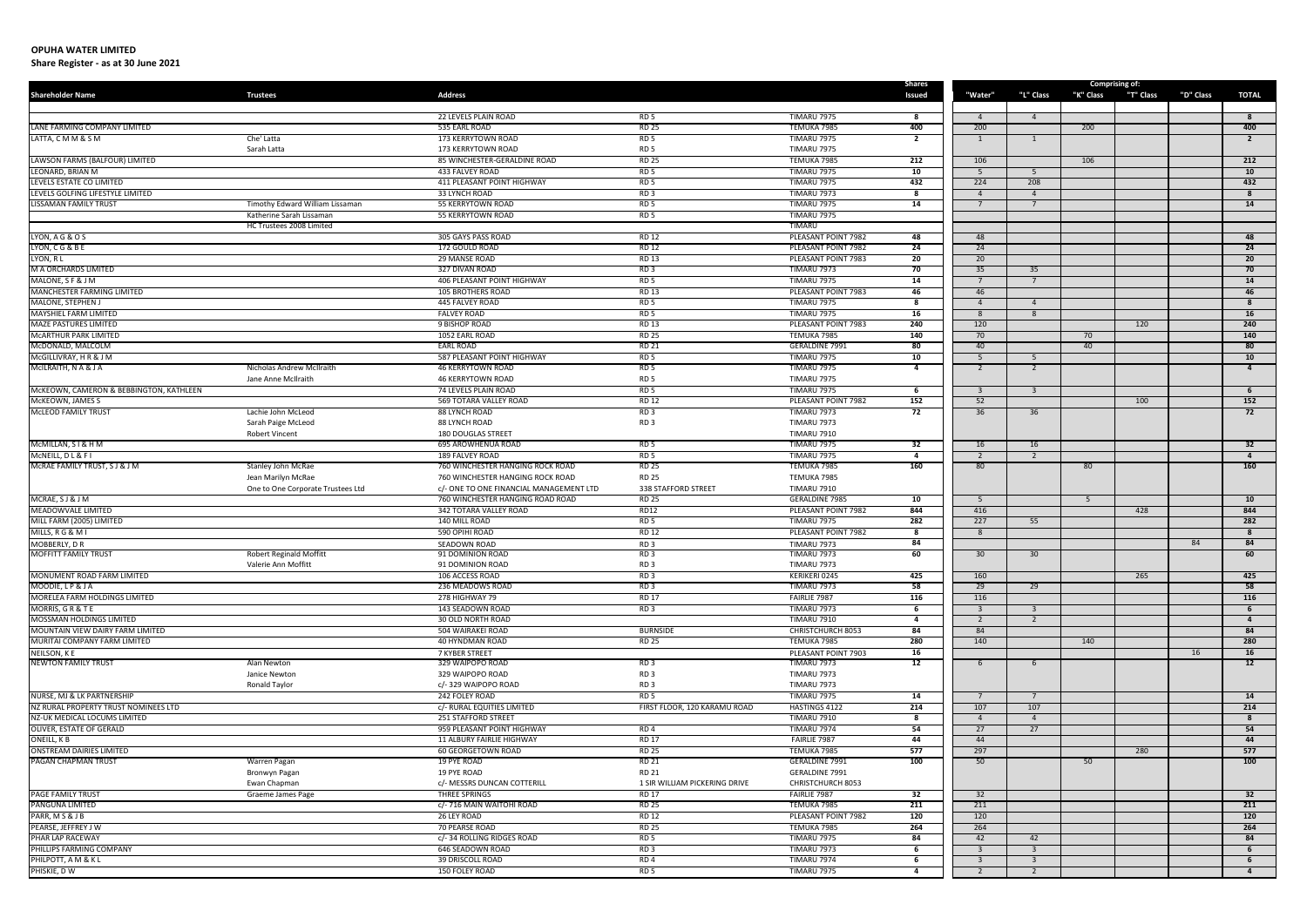| <b>Shareholder Name</b>                                       | <b>Trustees</b>                                      | <b>Address</b>                                       |                                    |                                           | <b>Shares</b><br>Issued | "Water"         | "L" Class               | "K" Class | <b>Comprising of:</b><br>"T" Class | "D" Class | <b>TOTAL</b>         |
|---------------------------------------------------------------|------------------------------------------------------|------------------------------------------------------|------------------------------------|-------------------------------------------|-------------------------|-----------------|-------------------------|-----------|------------------------------------|-----------|----------------------|
|                                                               |                                                      |                                                      |                                    |                                           |                         |                 |                         |           |                                    |           |                      |
|                                                               |                                                      | 22 LEVELS PLAIN ROAD                                 | RD <sub>5</sub>                    | <b>TIMARU 7975</b>                        | 8                       | $\overline{4}$  | $\overline{4}$          |           |                                    |           | 8                    |
| LANE FARMING COMPANY LIMITED                                  |                                                      | 535 EARL ROAD                                        | <b>RD 25</b>                       | TEMUKA 7985                               | 400                     | 200             |                         | 200       |                                    |           | 400                  |
| LATTA, CMM&SM                                                 | Che' Latta<br>Sarah Latta                            | 173 KERRYTOWN ROAD<br>173 KERRYTOWN ROAD             | RD <sub>5</sub><br>RD <sub>5</sub> | <b>TIMARU 7975</b><br><b>TIMARU 7975</b>  | $\overline{2}$          | 1               | 1                       |           |                                    |           | $\overline{2}$       |
| LAWSON FARMS (BALFOUR) LIMITED                                |                                                      | 85 WINCHESTER-GERALDINE ROAD                         | <b>RD 25</b>                       | TEMUKA 7985                               | 212                     | 106             |                         | 106       |                                    |           | 212                  |
| LEONARD, BRIAN M                                              |                                                      | 433 FALVEY ROAD                                      | RD <sub>5</sub>                    | <b>TIMARU 7975</b>                        | 10                      | -5              | 5                       |           |                                    |           | 10                   |
| LEVELS ESTATE CO LIMITED                                      |                                                      | 411 PLEASANT POINT HIGHWAY                           | RD <sub>5</sub>                    | <b>TIMARU 7975</b>                        | 432                     | 224             | 208                     |           |                                    |           | 432                  |
| LEVELS GOLFING LIFESTYLE LIMITED                              |                                                      | 33 LYNCH ROAD                                        | RD <sub>3</sub>                    | <b>TIMARU 7973</b>                        | 8                       | $\overline{4}$  | $\overline{4}$          |           |                                    |           | 8                    |
| LISSAMAN FAMILY TRUST                                         | Timothy Edward William Lissaman                      | 55 KERRYTOWN ROAD                                    | RD <sub>5</sub>                    | <b>TIMARU 7975</b>                        | 14                      |                 | $\overline{7}$          |           |                                    |           | 14                   |
|                                                               | Katherine Sarah Lissaman<br>HC Trustees 2008 Limited | <b>55 KERRYTOWN ROAD</b>                             | RD <sub>5</sub>                    | <b>TIMARU 7975</b><br>TIMARU              |                         |                 |                         |           |                                    |           |                      |
| LYON, A G & O S                                               |                                                      | 305 GAYS PASS ROAD                                   | <b>RD 12</b>                       | PLEASANT POINT 7982                       | 48                      | 48              |                         |           |                                    |           | 48                   |
| LYON, CG&BE                                                   |                                                      | 172 GOULD ROAD                                       | <b>RD 12</b>                       | PLEASANT POINT 7982                       | 24                      | 24              |                         |           |                                    |           | 24                   |
| LYON, RL                                                      |                                                      | 29 MANSE ROAD                                        | <b>RD 13</b>                       | PLEASANT POINT 7983                       | 20                      | 20              |                         |           |                                    |           | 20                   |
| M A ORCHARDS LIMITED                                          |                                                      | 327 DIVAN ROAD                                       | RD <sub>3</sub>                    | <b>TIMARU 7973</b>                        | 70                      | 35              | 35                      |           |                                    |           | 70                   |
| MALONE, S F & J M                                             |                                                      | 406 PLEASANT POINT HIGHWAY                           | RD <sub>5</sub>                    | <b>TIMARU 7975</b>                        | 14                      |                 |                         |           |                                    |           | 14                   |
| MANCHESTER FARMING LIMITED<br>MALONE, STEPHEN J               |                                                      | <b>105 BROTHERS ROAD</b><br>445 FALVEY ROAD          | <b>RD 13</b><br>RD <sub>5</sub>    | PLEASANT POINT 7983<br><b>TIMARU 7975</b> | 46<br>8                 | 46<br>$\Delta$  | $\overline{4}$          |           |                                    |           | 46<br>8              |
| <b>MAYSHIEL FARM LIMITED</b>                                  |                                                      | <b>FALVEY ROAD</b>                                   | RD <sub>5</sub>                    | <b>TIMARU 7975</b>                        | 16                      | 8               | 8                       |           |                                    |           | 16                   |
| <b>MAZE PASTURES LIMITED</b>                                  |                                                      | 9 BISHOP ROAD                                        | <b>RD 13</b>                       | PLEASANT POINT 7983                       | 240                     | 120             |                         |           | 120                                |           | 240                  |
| MCARTHUR PARK LIMITED                                         |                                                      | 1052 EARL ROAD                                       | <b>RD 25</b>                       | TEMUKA 7985                               | 140                     | 70              |                         | 70        |                                    |           | 140                  |
| McDONALD, MALCOLM                                             |                                                      | <b>EARL ROAD</b>                                     | <b>RD 21</b>                       | <b>GERALDINE 7991</b>                     | 80                      | 40              |                         | 40        |                                    |           | 80                   |
| McGILLIVRAY, H R & J M                                        |                                                      | 587 PLEASANT POINT HIGHWAY                           | RD <sub>5</sub>                    | <b>TIMARU 7975</b>                        | 10                      | -5              | -5                      |           |                                    |           | 10                   |
| MCILRAITH, N A & J A                                          | Nicholas Andrew McIlraith<br>Jane Anne McIlraith     | <b>46 KERRYTOWN ROAD</b><br><b>46 KERRYTOWN ROAD</b> | RD <sub>5</sub><br>RD <sub>5</sub> | <b>TIMARU 7975</b><br><b>TIMARU 7975</b>  | $\overline{a}$          | 2               | $\overline{2}$          |           |                                    |           | $\overline{4}$       |
| McKEOWN, CAMERON & BEBBINGTON, KATHLEEN                       |                                                      | 74 LEVELS PLAIN ROAD                                 | RD <sub>5</sub>                    | <b>TIMARU 7975</b>                        | 6                       | 3               | $\overline{\mathbf{3}}$ |           |                                    |           | 6                    |
| McKEOWN, JAMES S                                              |                                                      | 569 TOTARA VALLEY ROAD                               | <b>RD 12</b>                       | PLEASANT POINT 7982                       | 152                     | 52              |                         |           | 100                                |           | 152                  |
| <b>MCLEOD FAMILY TRUST</b>                                    | Lachie John McLeod                                   | 88 LYNCH ROAD                                        | RD <sub>3</sub>                    | <b>TIMARU 7973</b>                        | 72                      | 36              | 36                      |           |                                    |           | 72                   |
|                                                               | Sarah Paige McLeod                                   | 88 LYNCH ROAD                                        | RD <sub>3</sub>                    | <b>TIMARU 7973</b>                        |                         |                 |                         |           |                                    |           |                      |
|                                                               | <b>Robert Vincent</b>                                | <b>180 DOUGLAS STREET</b>                            |                                    | <b>TIMARU 7910</b>                        |                         |                 |                         |           |                                    |           |                      |
| MCMILLAN, SI & H M<br>MCNEILL, DL&FI                          |                                                      | 695 AROWHENUA ROAD<br>189 FALVEY ROAD                | RD <sub>5</sub><br>RD <sub>5</sub> | <b>TIMARU 7975</b><br><b>TIMARU 7975</b>  | 32<br>4                 | 16<br>2         | 16<br>2                 |           |                                    |           | 32<br>$\overline{4}$ |
| MCRAE FAMILY TRUST, S J & J M                                 | Stanley John McRae                                   | 760 WINCHESTER HANGING ROCK ROAD                     | <b>RD 25</b>                       | TEMUKA 7985                               | 160                     | 80 <sup>2</sup> |                         | 80        |                                    |           | 160                  |
|                                                               | Jean Marilyn McRae                                   | 760 WINCHESTER HANGING ROCK ROAD                     | <b>RD 25</b>                       | TEMUKA 7985                               |                         |                 |                         |           |                                    |           |                      |
|                                                               | One to One Corporate Trustees Ltd                    | c/- ONE TO ONE FINANCIAL MANAGEMENT LTD              | 338 STAFFORD STREET                | <b>TIMARU 7910</b>                        |                         |                 |                         |           |                                    |           |                      |
| MCRAE, SJ & J M                                               |                                                      | 760 WINCHESTER HANGING ROAD ROAD                     | <b>RD 25</b>                       | <b>GERALDINE 7985</b>                     | 10                      | -5              |                         | 5         |                                    |           | 10                   |
| <b>MEADOWVALE LIMITED</b>                                     |                                                      | 342 TOTARA VALLEY ROAD                               | RD12                               | PLEASANT POINT 7982                       | 844                     | 416             |                         |           | 428                                |           | 844                  |
| MILL FARM (2005) LIMITED<br>MILLS, R G & M I                  |                                                      | 140 MILL ROAD<br>590 OPIHI ROAD                      | RD <sub>5</sub><br><b>RD 12</b>    | <b>TIMARU 7975</b><br>PLEASANT POINT 7982 | 282<br>8                | 227<br>8        | 55                      |           |                                    |           | 282<br>8             |
| MOBBERLY, D R                                                 |                                                      | SEADOWN ROAD                                         | RD <sub>3</sub>                    | <b>TIMARU 7973</b>                        | 84                      |                 |                         |           |                                    | 84        | 84                   |
| <b>MOFFITT FAMILY TRUST</b>                                   | <b>Robert Reginald Moffitt</b>                       | 91 DOMINION ROAD                                     | RD <sub>3</sub>                    | <b>TIMARU 7973</b>                        | 60                      | 30              | 30 <sup>°</sup>         |           |                                    |           | 60                   |
|                                                               | Valerie Ann Moffitt                                  | 91 DOMINION ROAD                                     | RD <sub>3</sub>                    | <b>TIMARU 7973</b>                        |                         |                 |                         |           |                                    |           |                      |
| MONUMENT ROAD FARM LIMITED                                    |                                                      | 106 ACCESS ROAD                                      | RD <sub>3</sub>                    | KERIKERI 0245                             | 425                     | 160             |                         |           | 265                                |           | 425                  |
| MOODIE, LP & J A<br>MORELEA FARM HOLDINGS LIMITED             |                                                      | 236 MEADOWS ROAD                                     | RD <sub>3</sub>                    | <b>TIMARU 7973</b>                        | 58                      | 29              | 29                      |           |                                    |           | 58                   |
| MORRIS, GR&TE                                                 |                                                      | 278 HIGHWAY 79<br>143 SEADOWN ROAD                   | <b>RD 17</b><br>RD3                | FAIRLIE 7987<br><b>TIMARU 7973</b>        | 116<br>6                | 116             | - 3                     |           |                                    |           | 116<br>6             |
| MOSSMAN HOLDINGS LIMITED                                      |                                                      | <b>30 OLD NORTH ROAD</b>                             |                                    | <b>TIMARU 7910</b>                        | 4                       | 2               | $\overline{2}$          |           |                                    |           | $\overline{4}$       |
| MOUNTAIN VIEW DAIRY FARM LIMITED                              |                                                      | 504 WAIRAKEI ROAD                                    | <b>BURNSIDE</b>                    | <b>CHRISTCHURCH 8053</b>                  | 84                      | 84              |                         |           |                                    |           | 84                   |
| MURITAI COMPANY FARM LIMITED                                  |                                                      | 40 HYNDMAN ROAD                                      | <b>RD 25</b>                       | TEMUKA 7985                               | 280                     | 140             |                         | 140       |                                    |           | 280                  |
| NEILSON, K E                                                  |                                                      | 7 KYBER STREET                                       |                                    | PLEASANT POINT 7903                       | 16                      |                 |                         |           |                                    | 16        | 16 <sup>1</sup>      |
| <b>NEWTON FAMILY TRUST</b>                                    | Alan Newton                                          | 329 WAIPOPO ROAD                                     | RD <sub>3</sub>                    | <b>TIMARU 7973</b>                        | 12                      | 6               | 6                       |           |                                    |           | 12                   |
|                                                               | Janice Newton<br>Ronald Taylor                       | 329 WAIPOPO ROAD<br>c/-329 WAIPOPO ROAD              | RD <sub>3</sub><br>RD <sub>3</sub> | <b>TIMARU 7973</b><br><b>TIMARU 7973</b>  |                         |                 |                         |           |                                    |           |                      |
| NURSE, MJ & LK PARTNERSHIP                                    |                                                      | 242 FOLEY ROAD                                       | RD <sub>5</sub>                    | <b>TIMARU 7975</b>                        | 14                      |                 | $\overline{7}$          |           |                                    |           | 14                   |
| NZ RURAL PROPERTY TRUST NOMINEES LTD                          |                                                      | c/- RURAL EQUITIES LIMITED                           | FIRST FLOOR. 120 KARAMU ROAD       | HASTINGS 4122                             | 214                     | 107             | 107                     |           |                                    |           | 214                  |
| NZ-UK MEDICAL LOCUMS LIMITED                                  |                                                      | <b>251 STAFFORD STREET</b>                           |                                    | <b>TIMARU 7910</b>                        | 8                       | $\overline{a}$  | $\overline{4}$          |           |                                    |           | 8                    |
| <b>OLIVER, ESTATE OF GERALD</b>                               |                                                      | 959 PLEASANT POINT HIGHWAY                           | RD <sub>4</sub>                    | <b>TIMARU 7974</b>                        | 54                      | 27              | 27                      |           |                                    |           | 54                   |
| <b>ONEILL, KB</b>                                             |                                                      | <b>11 ALBURY FAIRLIE HIGHWAY</b>                     | <b>RD 17</b>                       | FAIRLIE 7987                              | $-44$<br>577            | 44              |                         |           |                                    |           | 44                   |
| <b>ONSTREAM DAIRIES LIMITED</b><br><b>PAGAN CHAPMAN TRUST</b> | Warren Pagan                                         | <b>60 GEORGETOWN ROAD</b><br><b>19 PYE ROAD</b>      | <b>RD 25</b><br>RD 21              | TEMUKA 7985<br><b>GERALDINE 7991</b>      | 100                     | 297<br>50       |                         | 50        | 280                                |           | 577<br>100           |
|                                                               | Bronwyn Pagan                                        | 19 PYE ROAD                                          | <b>RD 21</b>                       | GERALDINE 7991                            |                         |                 |                         |           |                                    |           |                      |
|                                                               | Ewan Chapman                                         | c/- MESSRS DUNCAN COTTERILL                          | 1 SIR WILLIAM PICKERING DRIVE      | <b>CHRISTCHURCH 8053</b>                  |                         |                 |                         |           |                                    |           |                      |
| PAGE FAMILY TRUST                                             | Graeme James Page                                    | THREE SPRINGS                                        | <b>RD 17</b>                       | FAIRLIE 7987                              | 32                      | 32              |                         |           |                                    |           | 32                   |
| <b>PANGUNA LIMITED</b>                                        |                                                      | c/- 716 MAIN WAITOHI ROAD                            | <b>RD 25</b>                       | TEMUKA 7985                               | 211                     | 211             |                         |           |                                    |           | 211                  |
| PARR, MS&JB                                                   |                                                      | 26 LEY ROAD                                          | <b>RD 12</b>                       | PLEASANT POINT 7982                       | 120                     | 120             |                         |           |                                    |           | 120                  |
| PEARSE, JEFFREY JW<br>PHAR LAP RACEWAY                        |                                                      | 70 PEARSE ROAD<br>c/-34 ROLLING RIDGES ROAD          | <b>RD 25</b><br>RD <sub>5</sub>    | TEMUKA 7985<br><b>TIMARU 7975</b>         | 264<br>84               | 264<br>42       | 42                      |           |                                    |           | 264<br>84            |
| PHILLIPS FARMING COMPANY                                      |                                                      | 646 SEADOWN ROAD                                     | RD <sub>3</sub>                    | <b>TIMARU 7973</b>                        | -6                      | $\overline{3}$  | $\overline{\mathbf{3}}$ |           |                                    |           | 6                    |
| PHILPOTT, A M & K L                                           |                                                      | 39 DRISCOLL ROAD                                     | RD <sub>4</sub>                    | <b>TIMARU 7974</b>                        | 6                       | -3              | $\overline{\mathbf{3}}$ |           |                                    |           | 6                    |
| PHISKIE, DW                                                   |                                                      | 150 FOLEY ROAD                                       | RD <sub>5</sub>                    | <b>TIMARU 7975</b>                        | 4                       | 2               | $\overline{2}$          |           |                                    |           | $\overline{4}$       |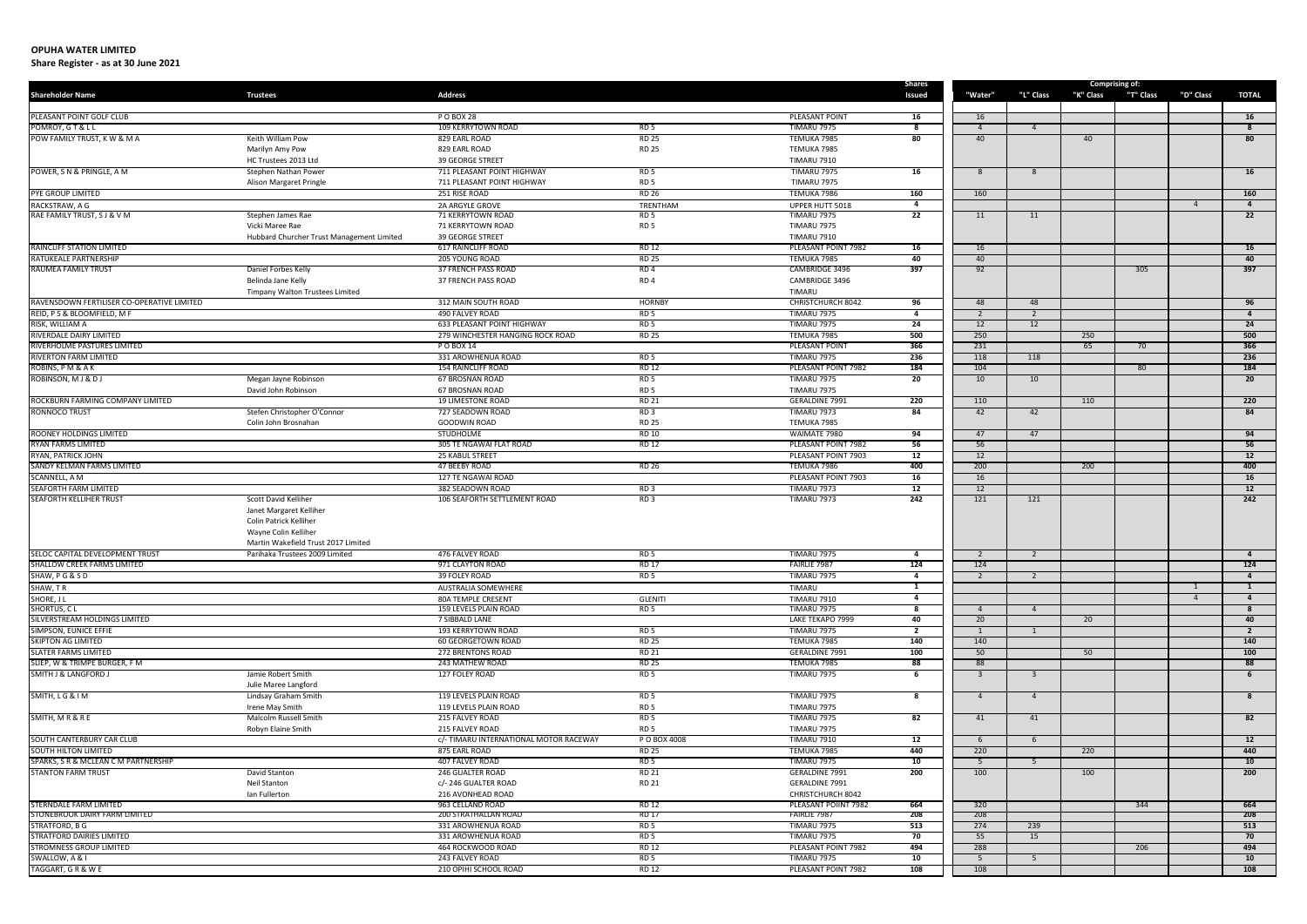| <b>Shareholder Name</b>                                        | <b>Trustees</b>                                 | <b>Address</b>                                        |                                    |                                           | Shares<br>Issued        | "Water"                 | "L" Class               | "K" Class | <b>Comprising of:</b><br>"T" Class | "D" Class      | TOTAL                   |
|----------------------------------------------------------------|-------------------------------------------------|-------------------------------------------------------|------------------------------------|-------------------------------------------|-------------------------|-------------------------|-------------------------|-----------|------------------------------------|----------------|-------------------------|
|                                                                |                                                 |                                                       |                                    |                                           |                         |                         |                         |           |                                    |                |                         |
| PLEASANT POINT GOLF CLUB                                       |                                                 | P O BOX 28                                            |                                    | PLEASANT POINT                            | 16                      | 16                      |                         |           |                                    |                | 16                      |
| POMROY, GT&LL                                                  |                                                 | 109 KERRYTOWN ROAD                                    | RD <sub>5</sub>                    | <b>TIMARU 7975</b>                        | -8                      | $\overline{4}$          | $\overline{4}$          |           |                                    |                | $\overline{\mathbf{8}}$ |
| POW FAMILY TRUST, K W & M A                                    | Keith William Pow                               | 829 EARL ROAD                                         | <b>RD 25</b>                       | TEMUKA 7985                               | 80                      | 40                      |                         | 40        |                                    |                | 80                      |
|                                                                | Marilyn Amy Pow                                 | 829 EARL ROAD                                         | <b>RD 25</b>                       | TEMUKA 7985                               |                         |                         |                         |           |                                    |                |                         |
| POWER, S N & PRINGLE, A M                                      | HC Trustees 2013 Ltd                            | <b>39 GEORGE STREET</b><br>711 PLEASANT POINT HIGHWAY | RD <sub>5</sub>                    | <b>TIMARU 7910</b><br><b>TIMARU 7975</b>  | 16                      |                         |                         |           |                                    |                | 16                      |
|                                                                | Stephen Nathan Power<br>Alison Margaret Pringle | 711 PLEASANT POINT HIGHWAY                            | RD <sub>5</sub>                    | <b>TIMARU 7975</b>                        |                         | 8                       | 8                       |           |                                    |                |                         |
| PYE GROUP LIMITED                                              |                                                 | 251 RISE ROAD                                         | <b>RD 26</b>                       | TEMUKA 7986                               | 160                     | 160                     |                         |           |                                    |                | 160                     |
| RACKSTRAW, A G                                                 |                                                 | 2A ARGYLE GROVE                                       | TRENTHAM                           | UPPER HUTT 5018                           | 4                       |                         |                         |           |                                    | $\overline{4}$ | $\overline{4}$          |
| RAE FAMILY TRUST, S J & V M                                    | Stephen James Rae                               | 71 KERRYTOWN ROAD                                     | RD <sub>5</sub>                    | <b>TIMARU 7975</b>                        | 22                      | 11                      | 11                      |           |                                    |                | 22                      |
|                                                                | Vicki Maree Rae                                 | 71 KERRYTOWN ROAD                                     | RD <sub>5</sub>                    | <b>TIMARU 7975</b>                        |                         |                         |                         |           |                                    |                |                         |
|                                                                | Hubbard Churcher Trust Management Limited       | <b>39 GEORGE STREET</b>                               |                                    | <b>TIMARU 7910</b>                        |                         |                         |                         |           |                                    |                |                         |
| RAINCLIFF STATION LIMITED                                      |                                                 | 617 RAINCLIFF ROAD                                    | <b>RD 12</b>                       | PLEASANT POINT 7982                       | 16                      | 16                      |                         |           |                                    |                | 16                      |
| <b>RATUKEALE PARTNERSHIP</b>                                   |                                                 | 205 YOUNG ROAD                                        | <b>RD 25</b>                       | TEMUKA 7985                               | 40                      | 40                      |                         |           |                                    |                | 40                      |
| <b>RAUMEA FAMILY TRUST</b>                                     | Daniel Forbes Kelly                             | 37 FRENCH PASS ROAD                                   | RD <sub>4</sub>                    | CAMBRIDGE 3496                            | 397                     | 92                      |                         |           | 305                                |                | 397                     |
|                                                                | Belinda Jane Kelly                              | 37 FRENCH PASS ROAD                                   | RD <sub>4</sub>                    | CAMBRIDGE 3496<br>TIMARU                  |                         |                         |                         |           |                                    |                |                         |
| RAVENSDOWN FERTILISER CO-OPERATIVE LIMITED                     | Timpany Walton Trustees Limited                 | 312 MAIN SOUTH ROAD                                   | <b>HORNBY</b>                      | <b>CHRISTCHURCH 8042</b>                  | 96                      | 48                      | 48                      |           |                                    |                | 96                      |
| REID, PS & BLOOMFIELD, M F                                     |                                                 | <b>490 FALVEY ROAD</b>                                | RD <sub>5</sub>                    | <b>TIMARU 7975</b>                        | $\overline{4}$          | $\overline{2}$          | 2                       |           |                                    |                | $\overline{4}$          |
| RISK, WILLIAM A                                                |                                                 | <b>633 PLEASANT POINT HIGHWAY</b>                     | RD <sub>5</sub>                    | <b>TIMARU 7975</b>                        | 24                      | 12                      | 12                      |           |                                    |                | 24                      |
| RIVERDALE DAIRY LIMITED                                        |                                                 | 279 WINCHESTER HANGING ROCK ROAD                      | <b>RD 25</b>                       | TEMUKA 7985                               | 500                     | 250                     |                         | 250       |                                    |                | 500                     |
| RIVERHOLME PASTURES LIMITED                                    |                                                 | P O BOX 14                                            |                                    | <b>PLEASANT POINT</b>                     | 366                     | 231                     |                         | 65        | 70                                 |                | 366                     |
| <b>RIVERTON FARM LIMITED</b>                                   |                                                 | 331 AROWHENUA ROAD                                    | RD <sub>5</sub>                    | <b>TIMARU 7975</b>                        | 236                     | 118                     | 118                     |           |                                    |                | 236                     |
| ROBINS, PM & AK                                                |                                                 | <b>154 RAINCLIFF ROAD</b>                             | <b>RD 12</b>                       | PLEASANT POINT 7982                       | 184                     | 104                     |                         |           | 80                                 |                | 184                     |
| ROBINSON, MJ & DJ                                              | Megan Jayne Robinson                            | <b>67 BROSNAN ROAD</b>                                | RD <sub>5</sub>                    | TIMARU 7975                               | 20                      | 10                      | 10                      |           |                                    |                | 20                      |
|                                                                | David John Robinson                             | <b>67 BROSNAN ROAD</b>                                | RD <sub>5</sub>                    | <b>TIMARU 7975</b>                        |                         |                         |                         |           |                                    |                |                         |
| ROCKBURN FARMING COMPANY LIMITED                               |                                                 | <b>19 LIMESTONE ROAD</b>                              | <b>RD 21</b>                       | <b>GERALDINE 7991</b>                     | 220                     | 110                     |                         | 110       |                                    |                | 220                     |
| RONNOCO TRUST                                                  | Stefen Christopher O'Connor                     | 727 SEADOWN ROAD                                      | RD3                                | <b>TIMARU 7973</b>                        | 84                      | 42                      | 42                      |           |                                    |                | 84                      |
| ROONEY HOLDINGS LIMITED                                        | Colin John Brosnahan                            | GOODWIN ROAD<br><b>STUDHOLME</b>                      | <b>RD 25</b><br><b>RD 10</b>       | TEMUKA 7985<br>WAIMATE 7980               |                         | 47                      | 47                      |           |                                    |                | 94                      |
| <b>RYAN FARMS LIMITED</b>                                      |                                                 | 305 TE NGAWAI FLAT ROAD                               | <b>RD 12</b>                       | PLEASANT POINT 7982                       | 94<br>56                | 56                      |                         |           |                                    |                | 56                      |
| RYAN, PATRICK JOHN                                             |                                                 | 25 KABUL STREET                                       |                                    | PLEASANT POINT 7903                       | 12                      | 12                      |                         |           |                                    |                | 12                      |
| SANDY KELMAN FARMS LIMITED                                     |                                                 | 47 BEEBY ROAD                                         | <b>RD 26</b>                       | TEMUKA 7986                               | 400                     | 200                     |                         | 200       |                                    |                | 400                     |
| <b>SCANNELL, A M</b>                                           |                                                 | 127 TE NGAWAI ROAD                                    |                                    | PLEASANT POINT 7903                       | 16                      | 16                      |                         |           |                                    |                | 16                      |
| SEAFORTH FARM LIMITED                                          |                                                 | 382 SEADOWN ROAD                                      | RD3                                | <b>TIMARU 7973</b>                        | 12                      | 12                      |                         |           |                                    |                | 12                      |
| <b>SEAFORTH KELLIHER TRUST</b>                                 | Scott David Kelliher                            | 106 SEAFORTH SETTLEMENT ROAD                          | RD3                                | <b>TIMARU 7973</b>                        | 242                     | 121                     | 121                     |           |                                    |                | 242                     |
|                                                                | Janet Margaret Kelliher                         |                                                       |                                    |                                           |                         |                         |                         |           |                                    |                |                         |
|                                                                | Colin Patrick Kelliher                          |                                                       |                                    |                                           |                         |                         |                         |           |                                    |                |                         |
|                                                                | Wayne Colin Kelliher                            |                                                       |                                    |                                           |                         |                         |                         |           |                                    |                |                         |
|                                                                | Martin Wakefield Trust 2017 Limited             |                                                       |                                    |                                           |                         |                         |                         |           |                                    |                |                         |
| SELOC CAPITAL DEVELOPMENT TRUST<br>SHALLOW CREEK FARMS LIMITED | Parihaka Trustees 2009 Limited                  | 476 FALVEY ROAD<br>971 CLAYTON ROAD                   | RD <sub>5</sub><br><b>RD 17</b>    | <b>TIMARU 7975</b><br><b>FAIRLIE 7987</b> | 4<br>124                | 2<br>124                | 2                       |           |                                    |                | $\overline{4}$<br>124   |
| SHAW, P G & S D                                                |                                                 | 39 FOLEY ROAD                                         | RD 5                               | <b>TIMARU 7975</b>                        | $\overline{\mathbf{4}}$ |                         |                         |           |                                    |                |                         |
| SHAW, TR                                                       |                                                 | <b>AUSTRALIA SOMEWHERE</b>                            |                                    | TIMARU                                    | $\mathbf{1}$            |                         |                         |           |                                    |                | $\mathbf{1}$            |
| SHORE, JL                                                      |                                                 | <b>80A TEMPLE CRESENT</b>                             | <b>GLENITI</b>                     | <b>TIMARU 7910</b>                        | $\overline{4}$          |                         |                         |           |                                    | $\overline{4}$ | $\overline{4}$          |
| SHORTUS, CL                                                    |                                                 | 159 LEVELS PLAIN ROAD                                 | RD <sub>5</sub>                    | <b>TIMARU 7975</b>                        |                         | $\Delta$                | $\overline{4}$          |           |                                    |                | 8                       |
| SILVERSTREAM HOLDINGS LIMITED                                  |                                                 | 7 SIBBALD LANE                                        |                                    | LAKE TEKAPO 7999                          | 40                      | 20                      |                         | 20        |                                    |                | 40                      |
| SIMPSON, EUNICE EFFIE                                          |                                                 | 193 KERRYTOWN ROAD                                    | RD <sub>5</sub>                    | <b>TIMARU 7975</b>                        | $\overline{2}$          |                         | 1                       |           |                                    |                | $\overline{2}$          |
| <b>SKIPTON AG LIMITED</b>                                      |                                                 | <b>60 GEORGETOWN ROAD</b>                             | <b>RD 25</b>                       | TEMUKA 7985                               | 140                     | 140                     |                         |           |                                    |                | 140                     |
| <b>SLATER FARMS LIMITED</b>                                    |                                                 | <b>272 BRENTONS ROAD</b>                              | <b>RD 21</b>                       | <b>GERALDINE 7991</b>                     | 100                     | 50                      |                         | 50        |                                    |                | 100                     |
| SLIEP, W & TRIMPE BURGER, F M                                  |                                                 | 243 MATHEW ROAD                                       | <b>RD 25</b>                       | TEMUKA 7985                               | 88                      | 88                      |                         |           |                                    |                | 88                      |
| <b>SMITH J &amp; LANGFORD J</b>                                | Jamie Robert Smith                              | 127 FOLEY ROAD                                        | RD 5                               | <b>TIMARU 7975</b>                        | 6                       | $\overline{\mathbf{3}}$ | $\overline{\mathbf{3}}$ |           |                                    |                | 6                       |
|                                                                | Julie Maree Langford                            |                                                       |                                    |                                           |                         |                         |                         |           |                                    |                |                         |
| SMITH, LG & I M                                                | Lindsay Graham Smith<br>Irene May Smith         | 119 LEVELS PLAIN ROAD<br>119 LEVELS PLAIN ROAD        | RD <sub>5</sub><br>RD <sub>5</sub> | <b>TIMARU 7975</b><br><b>TIMARU 7975</b>  | 8                       | $\overline{4}$          | $\overline{4}$          |           |                                    |                | 8                       |
| SMITH, MR&RE                                                   | Malcolm Russell Smith                           | 215 FALVEY ROAD                                       | RD <sub>5</sub>                    | TIMARU 7975                               | 82                      | 41                      | 41                      |           |                                    |                | 82                      |
|                                                                | Robyn Elaine Smith                              | 215 FALVEY ROAD                                       | RD <sub>5</sub>                    | <b>TIMARU 7975</b>                        |                         |                         |                         |           |                                    |                |                         |
| SOUTH CANTERBURY CAR CLUB                                      |                                                 | c/- TIMARU INTERNATIONAL MOTOR RACEWAY                | P O BOX 4008                       | <b>TIMARU 7910</b>                        | 12                      | 6                       | 6                       |           |                                    |                | 12                      |
| <b>SOUTH HILTON LIMITED</b>                                    |                                                 | 875 EARL ROAD                                         | <b>RD 25</b>                       | TEMUKA 7985                               | 440                     | 220                     |                         | 220       |                                    |                | 440                     |
| SPARKS, S R & MCLEAN C M PARTNERSHIP                           |                                                 | 407 FALVEY ROAD                                       | RD <sub>5</sub>                    | TIMARU 7975                               | 10                      | 5                       | 5                       |           |                                    |                | 10 <sup>1</sup>         |
| <b>STANTON FARM TRUST</b>                                      | David Stanton                                   | <b>246 GUALTER ROAD</b>                               | <b>RD 21</b>                       | <b>GERALDINE 7991</b>                     | 200                     | 100                     |                         | 100       |                                    |                | 200                     |
|                                                                | <b>Neil Stanton</b>                             | c/- 246 GUALTER ROAD                                  | <b>RD 21</b>                       | GERALDINE 7991                            |                         |                         |                         |           |                                    |                |                         |
|                                                                | Ian Fullerton                                   | 216 AVONHEAD ROAD                                     |                                    | CHRISTCHURCH 8042                         |                         |                         |                         |           |                                    |                |                         |
| <b>STERNDALE FARM LIMITED</b>                                  |                                                 | 963 CELLAND ROAD                                      | RD 12                              | PLEASANT POIINT 7982                      | 664                     | 320                     |                         |           | 344                                |                | 664                     |
| STONEBROOK DAIRY FARM LIMITED                                  |                                                 | <b>200 STRATHALLAN ROAD</b>                           | RD 17                              | <b>FAIRLIE /98/</b>                       | 208                     | -208                    |                         |           |                                    |                | -208                    |
| STRATFORD, B G<br><b>STRATFORD DAIRIES LIMITED</b>             |                                                 | 331 AROWHENUA ROAD<br>331 AROWHENUA ROAD              | RD 5<br>RD <sub>5</sub>            | <b>TIMARU 7975</b><br><b>TIMARU 7975</b>  | 513<br>70               | 274<br>55               | 239<br>15               |           |                                    |                | 513<br>70               |
| <b>STROMNESS GROUP LIMITED</b>                                 |                                                 | 464 ROCKWOOD ROAD                                     | <b>RD 12</b>                       | PLEASANT POINT 7982                       | 494                     | 288                     |                         |           | 206                                |                | 494                     |
| SWALLOW, A & I                                                 |                                                 | 243 FALVEY ROAD                                       | RD <sub>5</sub>                    | <b>TIMARU 7975</b>                        | 10                      | 5                       | -5                      |           |                                    |                | 10                      |
| TAGGART, G R & W E                                             |                                                 | 210 OPIHI SCHOOL ROAD                                 | RD 12                              | PLEASANT POINT 7982                       | 108                     | 108                     |                         |           |                                    |                | 108                     |
|                                                                |                                                 |                                                       |                                    |                                           |                         |                         |                         |           |                                    |                |                         |